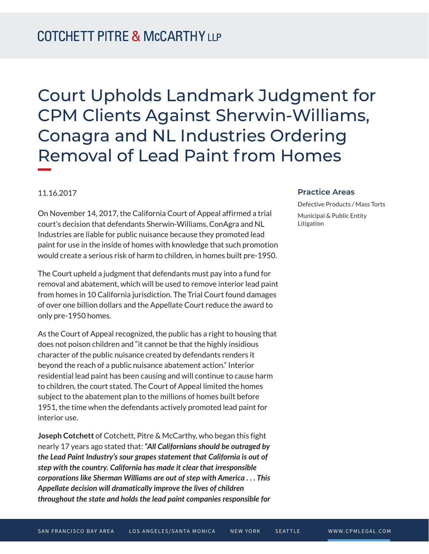## Court Upholds Landmark Judgment for CPM Clients Against Sherwin-Williams, Conagra and NL Industries Ordering Removal of Lead Paint from Homes

## 11.16.2017

**William Company** 

On November 14, 2017, the California Court of Appeal affirmed a trial court's decision that defendants Sherwin-Williams, ConAgra and NL Industries are liable for public nuisance because they promoted lead paint for use in the inside of homes with knowledge that such promotion would create a serious risk of harm to children, in homes built pre-1950.

The Court upheld a judgment that defendants must pay into a fund for removal and abatement, which will be used to remove interior lead paint from homes in 10 California jurisdiction. The Trial Court found damages of over one billion dollars and the Appellate Court reduce the award to only pre-1950 homes.

As the Court of Appeal recognized, the public has a right to housing that does not poison children and "it cannot be that the highly insidious character of the public nuisance created by defendants renders it beyond the reach of a public nuisance abatement action." Interior residential lead paint has been causing and will continue to cause harm to children, the court stated. The Court of Appeal limited the homes subject to the abatement plan to the millions of homes built before 1951, the time when the defendants actively promoted lead paint for interior use.

**Joseph Cotchett** of Cotchett, Pitre & McCarthy, who began this fight nearly 17 years ago stated that: *"All Californians should be outraged by the Lead Paint Industry's sour grapes statement that California is out of step with the country. California has made it clear that irresponsible corporations like Sherman Williams are out of step with America . . . This Appellate decision will dramatically improve the lives of children throughout the state and holds the lead paint companies responsible for*

## **Practice Areas**

Defective Products / Mass Torts Municipal & Public Entity Litigation